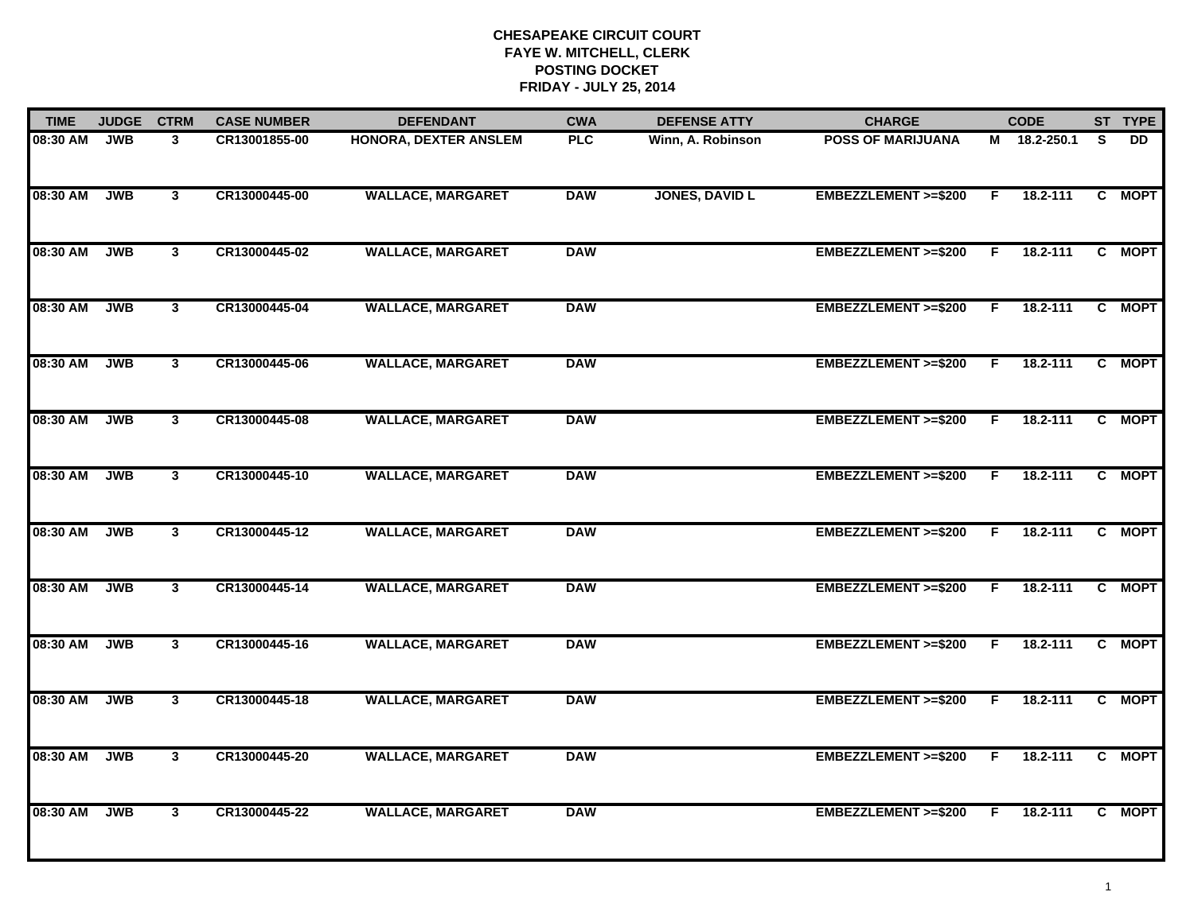| <b>TIME</b> | <b>JUDGE</b> | <b>CTRM</b>             | <b>CASE NUMBER</b> | <b>DEFENDANT</b>         | <b>CWA</b> | <b>DEFENSE ATTY</b>   | <b>CHARGE</b>                  |    | <b>CODE</b>  |          | ST TYPE |
|-------------|--------------|-------------------------|--------------------|--------------------------|------------|-----------------------|--------------------------------|----|--------------|----------|---------|
| 08:30 AM    | <b>JWB</b>   | 3                       | CR13001855-00      | HONORA, DEXTER ANSLEM    | <b>PLC</b> | Winn, A. Robinson     | <b>POSS OF MARIJUANA</b>       |    | M 18.2-250.1 | <b>S</b> | DD.     |
| 08:30 AM    | <b>JWB</b>   | 3                       | CR13000445-00      | <b>WALLACE, MARGARET</b> | <b>DAW</b> | <b>JONES, DAVID L</b> | EMBEZZLEMENT >=\$200           | F. | 18.2-111     |          | C MOPT  |
| 08:30 AM    | <b>JWB</b>   | $\mathbf{3}$            | CR13000445-02      | <b>WALLACE, MARGARET</b> | <b>DAW</b> |                       | <b>EMBEZZLEMENT &gt;=\$200</b> | F  | 18.2-111     |          | C MOPT  |
| 08:30 AM    | <b>JWB</b>   | $\mathbf{3}$            | CR13000445-04      | <b>WALLACE, MARGARET</b> | <b>DAW</b> |                       | EMBEZZLEMENT >=\$200           | F. | 18.2-111     |          | C MOPT  |
| 08:30 AM    | <b>JWB</b>   | 3 <sup>1</sup>          | CR13000445-06      | <b>WALLACE, MARGARET</b> | <b>DAW</b> |                       | EMBEZZLEMENT >=\$200           | F. | 18.2-111     |          | C MOPT  |
| 08:30 AM    | <b>JWB</b>   | $\mathbf{3}$            | CR13000445-08      | <b>WALLACE, MARGARET</b> | <b>DAW</b> |                       | <b>EMBEZZLEMENT &gt;=\$200</b> | F. | 18.2-111     |          | C MOPT  |
| 08:30 AM    | <b>JWB</b>   | $\overline{\mathbf{3}}$ | CR13000445-10      | <b>WALLACE, MARGARET</b> | <b>DAW</b> |                       | EMBEZZLEMENT >=\$200           | F. | 18.2-111     |          | C MOPT  |
| 08:30 AM    | <b>JWB</b>   | $\mathbf{3}$            | CR13000445-12      | <b>WALLACE, MARGARET</b> | <b>DAW</b> |                       | <b>EMBEZZLEMENT &gt;=\$200</b> | F. | 18.2-111     |          | C MOPT  |
| 08:30 AM    | <b>JWB</b>   | 3                       | CR13000445-14      | <b>WALLACE, MARGARET</b> | <b>DAW</b> |                       | EMBEZZLEMENT >=\$200           | F  | 18.2-111     |          | C MOPT  |
| 08:30 AM    | <b>JWB</b>   | $\mathbf{3}$            | CR13000445-16      | <b>WALLACE, MARGARET</b> | <b>DAW</b> |                       | <b>EMBEZZLEMENT &gt;=\$200</b> | F  | 18.2-111     |          | C MOPT  |
| 08:30 AM    | <b>JWB</b>   | $\mathbf{3}$            | CR13000445-18      | <b>WALLACE, MARGARET</b> | <b>DAW</b> |                       | EMBEZZLEMENT >=\$200           | F  | 18.2-111     |          | C MOPT  |
| 08:30 AM    | <b>JWB</b>   | 3                       | CR13000445-20      | <b>WALLACE, MARGARET</b> | <b>DAW</b> |                       | EMBEZZLEMENT >=\$200           | F. | 18.2-111     |          | C MOPT  |
| 08:30 AM    | <b>JWB</b>   | $\mathbf{3}$            | CR13000445-22      | <b>WALLACE, MARGARET</b> | <b>DAW</b> |                       | EMBEZZLEMENT >=\$200           | F. | 18.2-111     |          | C MOPT  |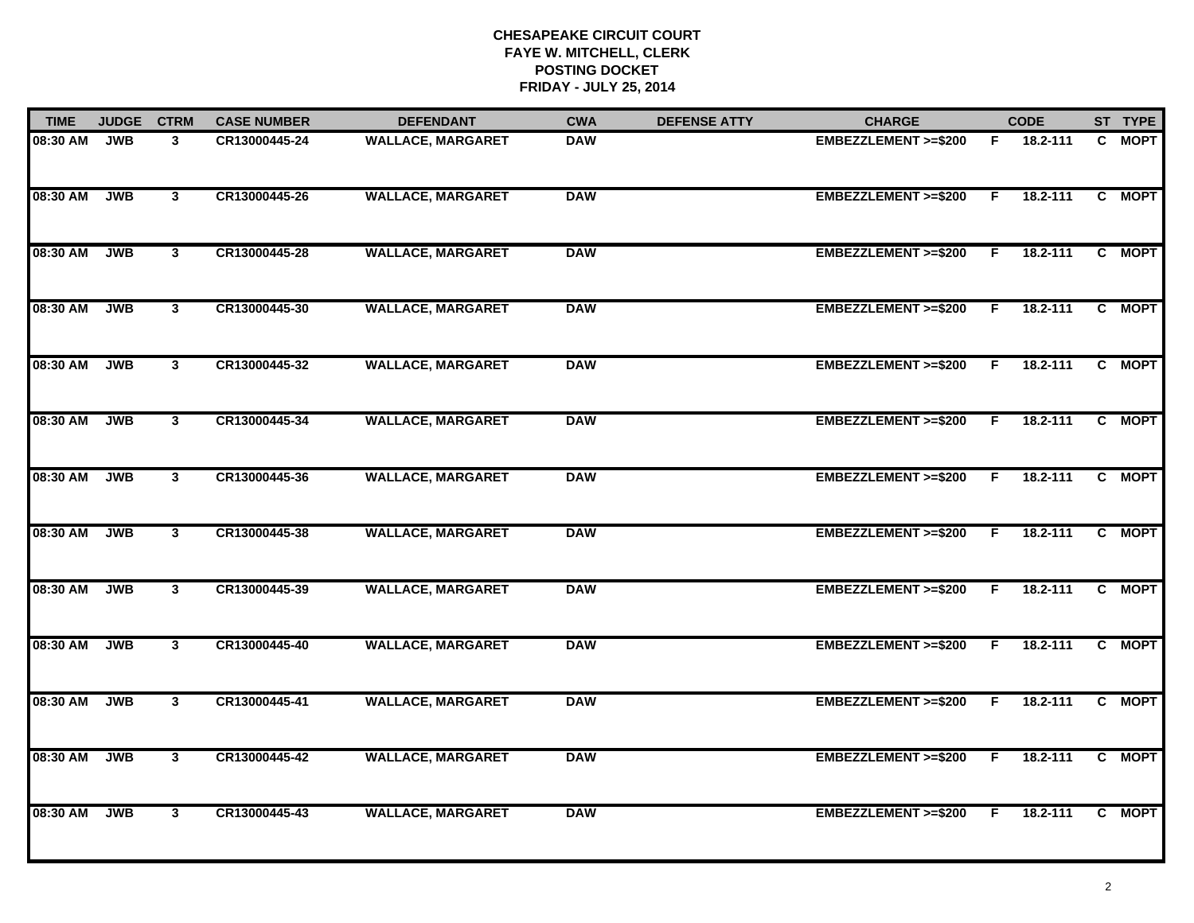| <b>TIME</b> | <b>JUDGE</b> | <b>CTRM</b>             | <b>CASE NUMBER</b> | <b>DEFENDANT</b>         | <b>CWA</b> | <b>DEFENSE ATTY</b> | <b>CHARGE</b>                  |    | <b>CODE</b>  | ST TYPE |
|-------------|--------------|-------------------------|--------------------|--------------------------|------------|---------------------|--------------------------------|----|--------------|---------|
| 08:30 AM    | <b>JWB</b>   | 3                       | CR13000445-24      | <b>WALLACE, MARGARET</b> | <b>DAW</b> |                     | EMBEZZLEMENT >=\$200           | F. | 18.2-111     | C MOPT  |
| 08:30 AM    | <b>JWB</b>   | $\mathbf{3}$            | CR13000445-26      | <b>WALLACE, MARGARET</b> | <b>DAW</b> |                     | EMBEZZLEMENT >=\$200           | E  | $18.2 - 111$ | C MOPT  |
| 08:30 AM    | <b>JWB</b>   | $\mathbf{3}$            | CR13000445-28      | <b>WALLACE, MARGARET</b> | <b>DAW</b> |                     | EMBEZZLEMENT >=\$200           | F. | 18.2-111     | C MOPT  |
| 08:30 AM    | <b>JWB</b>   | $\mathbf{3}$            | CR13000445-30      | <b>WALLACE, MARGARET</b> | <b>DAW</b> |                     | EMBEZZLEMENT >=\$200           | F. | 18.2-111     | C MOPT  |
| 08:30 AM    | JWB          | $\mathbf{3}$            | CR13000445-32      | <b>WALLACE, MARGARET</b> | <b>DAW</b> |                     | EMBEZZLEMENT >=\$200           | F. | 18.2-111     | C MOPT  |
| 08:30 AM    | <b>JWB</b>   | $\mathbf{3}$            | CR13000445-34      | <b>WALLACE, MARGARET</b> | <b>DAW</b> |                     | EMBEZZLEMENT >=\$200           | F. | $18.2 - 111$ | C MOPT  |
| 08:30 AM    | <b>JWB</b>   | 3                       | CR13000445-36      | <b>WALLACE, MARGARET</b> | <b>DAW</b> |                     | EMBEZZLEMENT >=\$200           | F. | 18.2-111     | C MOPT  |
| 08:30 AM    | <b>JWB</b>   | $\overline{\mathbf{3}}$ | CR13000445-38      | <b>WALLACE, MARGARET</b> | <b>DAW</b> |                     | EMBEZZLEMENT >=\$200           | F. | 18.2-111     | C MOPT  |
| 08:30 AM    | <b>JWB</b>   | $\mathbf{3}$            | CR13000445-39      | <b>WALLACE, MARGARET</b> | <b>DAW</b> |                     | EMBEZZLEMENT >=\$200           | E  | $18.2 - 111$ | C MOPT  |
| 08:30 AM    | <b>JWB</b>   | $\mathbf{3}$            | CR13000445-40      | <b>WALLACE, MARGARET</b> | <b>DAW</b> |                     | EMBEZZLEMENT >=\$200           | F. | 18.2-111     | C MOPT  |
| 08:30 AM    | <b>JWB</b>   | $\mathbf{3}$            | CR13000445-41      | <b>WALLACE, MARGARET</b> | <b>DAW</b> |                     | EMBEZZLEMENT >=\$200           | F. | 18.2-111     | C MOPT  |
| 08:30 AM    | <b>JWB</b>   | $\overline{\mathbf{3}}$ | CR13000445-42      | <b>WALLACE, MARGARET</b> | <b>DAW</b> |                     | EMBEZZLEMENT >=\$200           | F. | 18.2-111     | C MOPT  |
| 08:30 AM    | <b>JWB</b>   | $\mathbf{3}$            | CR13000445-43      | <b>WALLACE, MARGARET</b> | <b>DAW</b> |                     | <b>EMBEZZLEMENT &gt;=\$200</b> | F. | 18.2-111     | C MOPT  |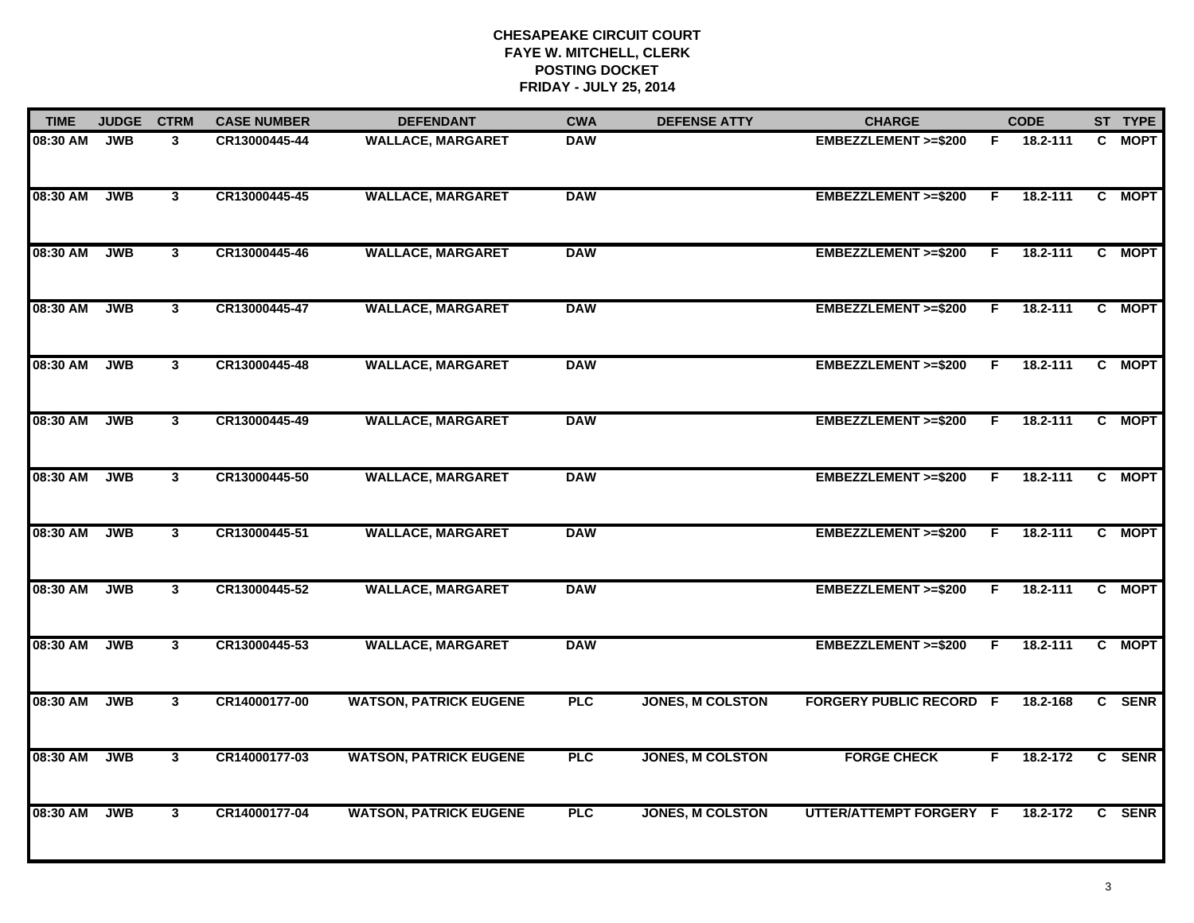| <b>TIME</b> | <b>JUDGE</b> | <b>CTRM</b>  | <b>CASE NUMBER</b> | <b>DEFENDANT</b>              | <b>CWA</b> | <b>DEFENSE ATTY</b>     | <b>CHARGE</b>                  |    | <b>CODE</b> | ST TYPE |
|-------------|--------------|--------------|--------------------|-------------------------------|------------|-------------------------|--------------------------------|----|-------------|---------|
| 08:30 AM    | <b>JWB</b>   | 3            | CR13000445-44      | <b>WALLACE, MARGARET</b>      | <b>DAW</b> |                         | EMBEZZLEMENT >=\$200           |    | F 18.2-111  | C MOPT  |
| 08:30 AM    | <b>JWB</b>   | $\mathbf{3}$ | CR13000445-45      | <b>WALLACE, MARGARET</b>      | <b>DAW</b> |                         | <b>EMBEZZLEMENT &gt;=\$200</b> | F. | 18.2-111    | C MOPT  |
| 08:30 AM    | <b>JWB</b>   | $\mathbf{3}$ | CR13000445-46      | <b>WALLACE, MARGARET</b>      | <b>DAW</b> |                         | EMBEZZLEMENT >=\$200           | F  | 18.2-111    | C MOPT  |
| 08:30 AM    | <b>JWB</b>   | $\mathbf{3}$ | CR13000445-47      | <b>WALLACE, MARGARET</b>      | <b>DAW</b> |                         | EMBEZZLEMENT >=\$200           | F. | 18.2-111    | C MOPT  |
| 08:30 AM    | <b>JWB</b>   | $\mathbf{3}$ | CR13000445-48      | <b>WALLACE, MARGARET</b>      | <b>DAW</b> |                         | EMBEZZLEMENT >=\$200           | F. | 18.2-111    | C MOPT  |
| 08:30 AM    | <b>JWB</b>   | $\mathbf{3}$ | CR13000445-49      | <b>WALLACE, MARGARET</b>      | <b>DAW</b> |                         | EMBEZZLEMENT >=\$200           | F. | 18.2-111    | C MOPT  |
| 08:30 AM    | <b>JWB</b>   | $\mathbf{3}$ | CR13000445-50      | <b>WALLACE, MARGARET</b>      | <b>DAW</b> |                         | <b>EMBEZZLEMENT &gt;=\$200</b> | F. | 18.2-111    | C MOPT  |
| 08:30 AM    | <b>JWB</b>   | $\mathbf{3}$ | CR13000445-51      | <b>WALLACE, MARGARET</b>      | <b>DAW</b> |                         | <b>EMBEZZLEMENT &gt;=\$200</b> | F. | 18.2-111    | C MOPT  |
| 08:30 AM    | <b>JWB</b>   | 3            | CR13000445-52      | <b>WALLACE, MARGARET</b>      | <b>DAW</b> |                         | <b>EMBEZZLEMENT &gt;=\$200</b> | F. | 18.2-111    | C MOPT  |
| 08:30 AM    | <b>JWB</b>   | $\mathbf{3}$ | CR13000445-53      | <b>WALLACE, MARGARET</b>      | <b>DAW</b> |                         | EMBEZZLEMENT >=\$200           | F. | 18.2-111    | C MOPT  |
| 08:30 AM    | <b>JWB</b>   | $\mathbf{3}$ | CR14000177-00      | <b>WATSON, PATRICK EUGENE</b> | <b>PLC</b> | <b>JONES, M COLSTON</b> | <b>FORGERY PUBLIC RECORD F</b> |    | 18.2-168    | C SENR  |
| 08:30 AM    | <b>JWB</b>   | $\mathbf{3}$ | CR14000177-03      | <b>WATSON, PATRICK EUGENE</b> | <b>PLC</b> | <b>JONES, M COLSTON</b> | <b>FORGE CHECK</b>             | F. | 18.2-172    | C SENR  |
| 08:30 AM    | <b>JWB</b>   | $\mathbf{3}$ | CR14000177-04      | <b>WATSON, PATRICK EUGENE</b> | <b>PLC</b> | <b>JONES, M COLSTON</b> | UTTER/ATTEMPT FORGERY F        |    | 18.2-172    | C SENR  |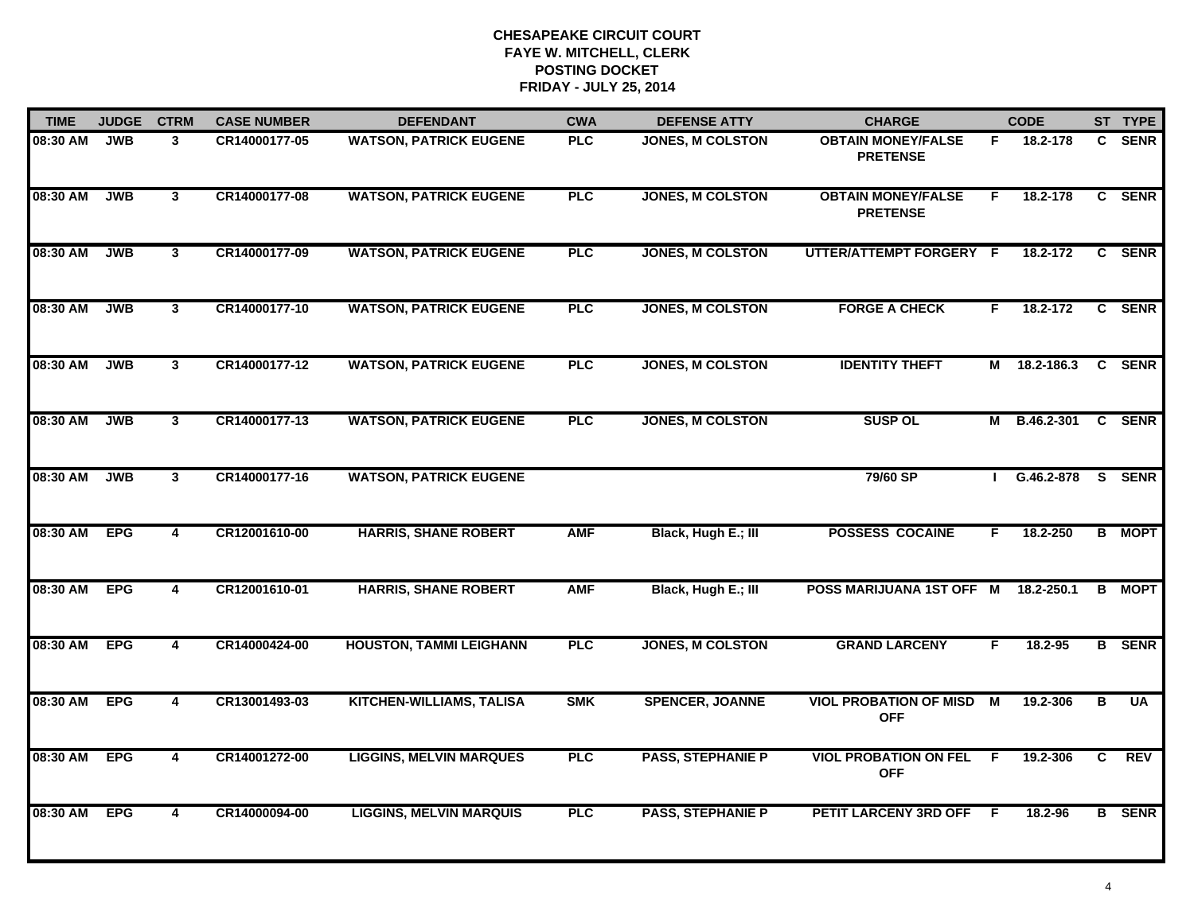| <b>TIME</b>  | <b>JUDGE</b> | <b>CTRM</b>             | <b>CASE NUMBER</b> | <b>DEFENDANT</b>                | <b>CWA</b> | <b>DEFENSE ATTY</b>      | <b>CHARGE</b>                                 |     | <b>CODE</b>         |              | ST TYPE       |
|--------------|--------------|-------------------------|--------------------|---------------------------------|------------|--------------------------|-----------------------------------------------|-----|---------------------|--------------|---------------|
| 08:30 AM     | <b>JWB</b>   | 3                       | CR14000177-05      | <b>WATSON, PATRICK EUGENE</b>   | <b>PLC</b> | <b>JONES, M COLSTON</b>  | <b>OBTAIN MONEY/FALSE</b><br><b>PRETENSE</b>  | F.  | 18.2-178            | $\mathbf{c}$ | <b>SENR</b>   |
| 08:30 AM     | <b>JWB</b>   | $\mathbf{3}$            | CR14000177-08      | <b>WATSON, PATRICK EUGENE</b>   | <b>PLC</b> | <b>JONES, M COLSTON</b>  | <b>OBTAIN MONEY/FALSE</b><br><b>PRETENSE</b>  | F.  | 18.2-178            |              | C SENR        |
| 08:30 AM     | <b>JWB</b>   | $\overline{3}$          | CR14000177-09      | <b>WATSON, PATRICK EUGENE</b>   | PLC        | <b>JONES, M COLSTON</b>  | UTTER/ATTEMPT FORGERY F                       |     | 18.2-172            |              | C SENR        |
| 08:30 AM     | <b>JWB</b>   | $\mathbf{3}$            | CR14000177-10      | <b>WATSON, PATRICK EUGENE</b>   | PLC        | <b>JONES, M COLSTON</b>  | <b>FORGE A CHECK</b>                          | F.  | 18.2-172            |              | C SENR        |
| 08:30 AM     | <b>JWB</b>   | $\mathbf{3}$            | CR14000177-12      | <b>WATSON, PATRICK EUGENE</b>   | <b>PLC</b> | <b>JONES, M COLSTON</b>  | <b>IDENTITY THEFT</b>                         |     | M 18.2-186.3        |              | C SENR        |
| 08:30 AM     | <b>JWB</b>   | $\mathbf{3}$            | CR14000177-13      | <b>WATSON, PATRICK EUGENE</b>   | PLC        | <b>JONES, M COLSTON</b>  | <b>SUSP OL</b>                                |     | M B.46.2-301 C SENR |              |               |
| 08:30 AM     | <b>JWB</b>   | $\mathbf{3}$            | CR14000177-16      | <b>WATSON, PATRICK EUGENE</b>   |            |                          | 79/60 SP                                      |     | I G.46.2-878 S SENR |              |               |
| 08:30 AM     | <b>EPG</b>   | $\overline{\mathbf{4}}$ | CR12001610-00      | <b>HARRIS, SHANE ROBERT</b>     | <b>AMF</b> | Black, Hugh E.; III      | <b>POSSESS COCAINE</b>                        | F   | 18.2-250            |              | <b>B</b> MOPT |
| 08:30 AM     | <b>EPG</b>   | 4                       | CR12001610-01      | <b>HARRIS, SHANE ROBERT</b>     | <b>AMF</b> | Black, Hugh E.; III      | POSS MARIJUANA 1ST OFF M                      |     | 18.2-250.1          |              | <b>B</b> MOPT |
| 08:30 AM     | <b>EPG</b>   | 4                       | CR14000424-00      | <b>HOUSTON, TAMMI LEIGHANN</b>  | <b>PLC</b> | <b>JONES, M COLSTON</b>  | <b>GRAND LARCENY</b>                          | F.  | 18.2-95             |              | <b>B</b> SENR |
| 08:30 AM EPG |              | 4                       | CR13001493-03      | <b>KITCHEN-WILLIAMS, TALISA</b> | <b>SMK</b> | <b>SPENCER, JOANNE</b>   | <b>VIOL PROBATION OF MISD M</b><br><b>OFF</b> |     | 19.2-306            | В            | UA            |
| 08:30 AM     | <b>EPG</b>   | 4                       | CR14001272-00      | <b>LIGGINS, MELVIN MARQUES</b>  | <b>PLC</b> | <b>PASS, STEPHANIE P</b> | <b>VIOL PROBATION ON FEL</b><br><b>OFF</b>    | - F | 19.2-306            | C            | <b>REV</b>    |
| 08:30 AM     | <b>EPG</b>   | 4                       | CR14000094-00      | <b>LIGGINS, MELVIN MARQUIS</b>  | <b>PLC</b> | <b>PASS, STEPHANIE P</b> | <b>PETIT LARCENY 3RD OFF</b>                  | - F | 18.2-96             |              | <b>B</b> SENR |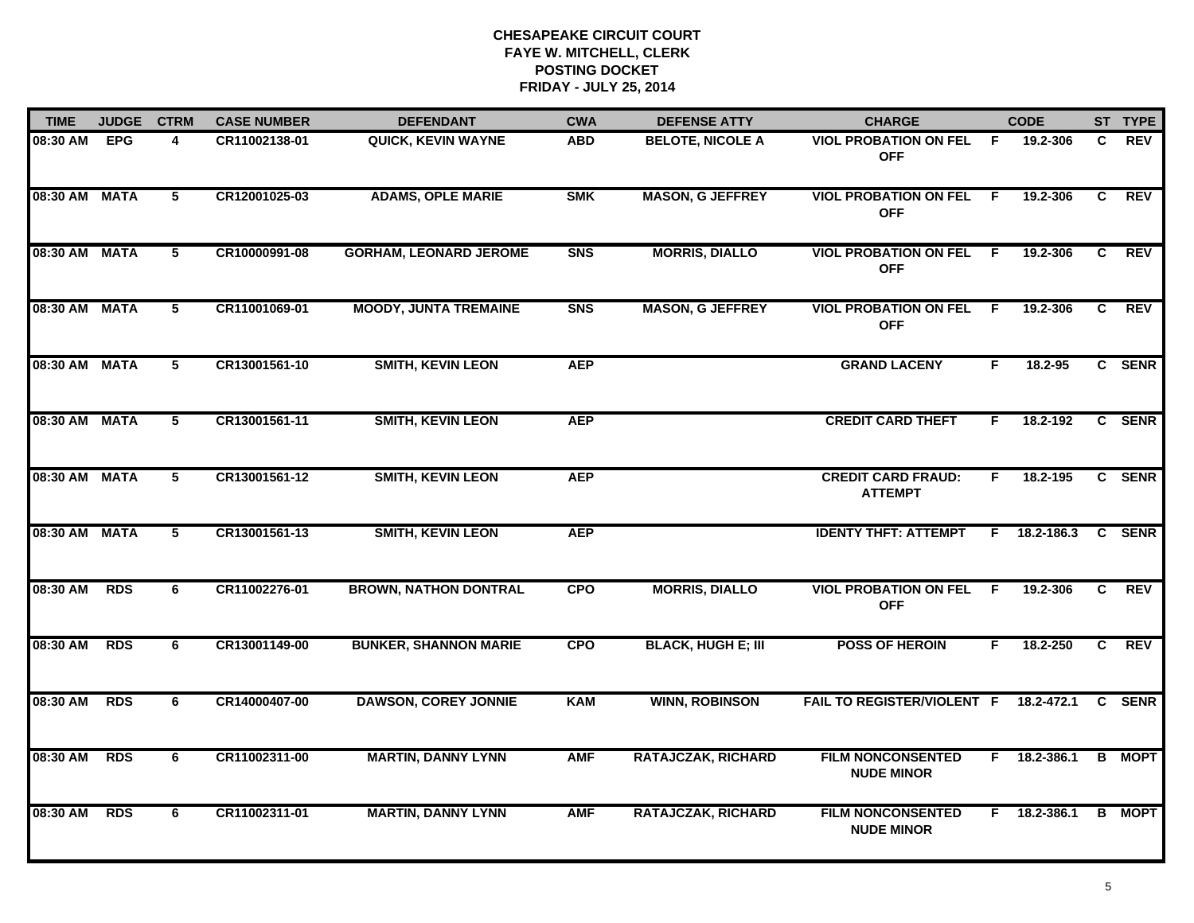| <b>TIME</b>   | <b>JUDGE</b> | <b>CTRM</b>     | <b>CASE NUMBER</b> | <b>DEFENDANT</b>              | <b>CWA</b>     | <b>DEFENSE ATTY</b>       | <b>CHARGE</b>                                 |     | <b>CODE</b>    |   | ST TYPE       |
|---------------|--------------|-----------------|--------------------|-------------------------------|----------------|---------------------------|-----------------------------------------------|-----|----------------|---|---------------|
| 08:30 AM      | <b>EPG</b>   | 4               | CR11002138-01      | <b>QUICK, KEVIN WAYNE</b>     | <b>ABD</b>     | <b>BELOTE, NICOLE A</b>   | <b>VIOL PROBATION ON FEL</b><br><b>OFF</b>    | - F | 19.2-306       | C | <b>REV</b>    |
| 08:30 AM MATA |              | 5               | CR12001025-03      | <b>ADAMS, OPLE MARIE</b>      | <b>SMK</b>     | <b>MASON, G JEFFREY</b>   | <b>VIOL PROBATION ON FEL F</b><br><b>OFF</b>  |     | 19.2-306       | C | <b>REV</b>    |
| 08:30 AM MATA |              | 5               | CR10000991-08      | <b>GORHAM, LEONARD JEROME</b> | <b>SNS</b>     | <b>MORRIS, DIALLO</b>     | <b>VIOL PROBATION ON FEL</b><br><b>OFF</b>    | - F | 19.2-306       | C | REV           |
| 08:30 AM MATA |              | 5               | CR11001069-01      | <b>MOODY, JUNTA TREMAINE</b>  | S <sub>N</sub> | <b>MASON, G JEFFREY</b>   | <b>VIOL PROBATION ON FEL</b><br><b>OFF</b>    | - F | 19.2-306       | C | <b>REV</b>    |
| 08:30 AM MATA |              | 5               | CR13001561-10      | <b>SMITH, KEVIN LEON</b>      | <b>AEP</b>     |                           | <b>GRAND LACENY</b>                           | F.  | 18.2-95        |   | C SENR        |
| 08:30 AM MATA |              | 5               | CR13001561-11      | <b>SMITH, KEVIN LEON</b>      | <b>AEP</b>     |                           | <b>CREDIT CARD THEFT</b>                      | F.  | 18.2-192       |   | C SENR        |
| 08:30 AM MATA |              | $5\overline{ }$ | CR13001561-12      | <b>SMITH, KEVIN LEON</b>      | <b>AEP</b>     |                           | <b>CREDIT CARD FRAUD:</b><br><b>ATTEMPT</b>   | F.  | 18.2-195       |   | C SENR        |
| 08:30 AM MATA |              | 5               | CR13001561-13      | <b>SMITH, KEVIN LEON</b>      | <b>AEP</b>     |                           | <b>IDENTY THFT: ATTEMPT</b>                   |     | F 18.2-186.3   |   | C SENR        |
| 08:30 AM      | <b>RDS</b>   | 6               | CR11002276-01      | <b>BROWN, NATHON DONTRAL</b>  | <b>CPO</b>     | <b>MORRIS, DIALLO</b>     | <b>VIOL PROBATION ON FEL</b><br><b>OFF</b>    | -F  | 19.2-306       | C | <b>REV</b>    |
| 08:30 AM      | <b>RDS</b>   | 6               | CR13001149-00      | <b>BUNKER, SHANNON MARIE</b>  | <b>CPO</b>     | <b>BLACK, HUGH E; III</b> | <b>POSS OF HEROIN</b>                         | F.  | 18.2-250       | C | <b>REV</b>    |
| 08:30 AM      | <b>RDS</b>   | 6               | CR14000407-00      | <b>DAWSON, COREY JONNIE</b>   | <b>KAM</b>     | <b>WINN, ROBINSON</b>     | FAIL TO REGISTER/VIOLENT F 18.2-472.1         |     |                |   | C SENR        |
| 08:30 AM      | <b>RDS</b>   | 6               | CR11002311-00      | <b>MARTIN, DANNY LYNN</b>     | <b>AMF</b>     | <b>RATAJCZAK, RICHARD</b> | <b>FILM NONCONSENTED</b><br><b>NUDE MINOR</b> |     | $F$ 18.2-386.1 |   | <b>B</b> MOPT |
| 08:30 AM      | <b>RDS</b>   | 6               | CR11002311-01      | <b>MARTIN, DANNY LYNN</b>     | <b>AMF</b>     | <b>RATAJCZAK, RICHARD</b> | <b>FILM NONCONSENTED</b><br><b>NUDE MINOR</b> |     | F 18.2-386.1   |   | <b>B</b> MOPT |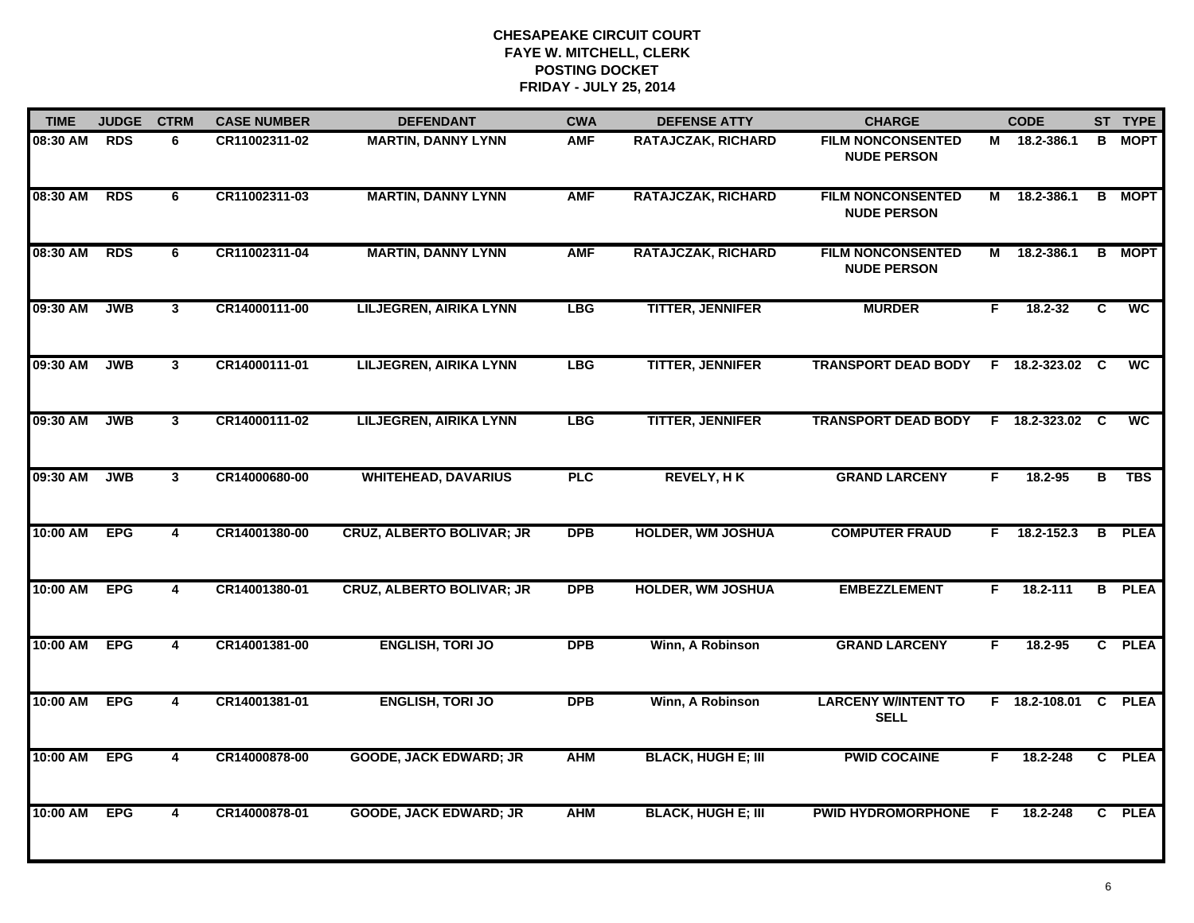| <b>TIME</b> | <b>JUDGE</b> | <b>CTRM</b>             | <b>CASE NUMBER</b> | <b>DEFENDANT</b>                 | <b>CWA</b> | <b>DEFENSE ATTY</b>       | <b>CHARGE</b>                                  |    | <b>CODE</b>          |     | ST TYPE                  |
|-------------|--------------|-------------------------|--------------------|----------------------------------|------------|---------------------------|------------------------------------------------|----|----------------------|-----|--------------------------|
| 08:30 AM    | <b>RDS</b>   | 6                       | CR11002311-02      | <b>MARTIN, DANNY LYNN</b>        | <b>AMF</b> | <b>RATAJCZAK, RICHARD</b> | <b>FILM NONCONSENTED</b><br><b>NUDE PERSON</b> |    | M 18.2-386.1         | B   | <b>MOPT</b>              |
| 08:30 AM    | <b>RDS</b>   | 6                       | CR11002311-03      | <b>MARTIN, DANNY LYNN</b>        | <b>AMF</b> | <b>RATAJCZAK, RICHARD</b> | <b>FILM NONCONSENTED</b><br><b>NUDE PERSON</b> | М  | 18.2-386.1           | B   | <b>MOPT</b>              |
| 08:30 AM    | <b>RDS</b>   | 6                       | CR11002311-04      | <b>MARTIN, DANNY LYNN</b>        | <b>AMF</b> | <b>RATAJCZAK, RICHARD</b> | <b>FILM NONCONSENTED</b><br><b>NUDE PERSON</b> | M  | 18.2-386.1           |     | <b>B</b> MOPT            |
| 09:30 AM    | <b>JWB</b>   | $\mathbf{3}$            | CR14000111-00      | <b>LILJEGREN, AIRIKA LYNN</b>    | <b>LBG</b> | <b>TITTER, JENNIFER</b>   | <b>MURDER</b>                                  | F. | $18.2 - 32$          | C   | <b>WC</b>                |
| 09:30 AM    | <b>JWB</b>   | $\overline{3}$          | CR14000111-01      | <b>LILJEGREN, AIRIKA LYNN</b>    | <b>LBG</b> | <b>TITTER, JENNIFER</b>   | <b>TRANSPORT DEAD BODY</b>                     |    | F 18.2-323.02        | - C | <b>WC</b>                |
| 09:30 AM    | <b>JWB</b>   | $\mathbf{3}$            | CR14000111-02      | <b>LILJEGREN, AIRIKA LYNN</b>    | <b>LBG</b> | <b>TITTER, JENNIFER</b>   | <b>TRANSPORT DEAD BODY</b>                     |    | F 18.2-323.02 C      |     | $\overline{\mathsf{wc}}$ |
| 09:30 AM    | <b>JWB</b>   | $\mathbf{3}$            | CR14000680-00      | <b>WHITEHEAD, DAVARIUS</b>       | <b>PLC</b> | <b>REVELY, HK</b>         | <b>GRAND LARCENY</b>                           | F. | 18.2-95              | в   | <b>TBS</b>               |
| 10:00 AM    | <b>EPG</b>   | 4                       | CR14001380-00      | <b>CRUZ, ALBERTO BOLIVAR; JR</b> | <b>DPB</b> | <b>HOLDER, WM JOSHUA</b>  | <b>COMPUTER FRAUD</b>                          | F. | 18.2-152.3           |     | <b>B</b> PLEA            |
| 10:00 AM    | <b>EPG</b>   | 4                       | CR14001380-01      | <b>CRUZ, ALBERTO BOLIVAR; JR</b> | <b>DPB</b> | <b>HOLDER, WM JOSHUA</b>  | <b>EMBEZZLEMENT</b>                            | F. | 18.2-111             |     | <b>B</b> PLEA            |
| 10:00 AM    | <b>EPG</b>   | 4                       | CR14001381-00      | <b>ENGLISH, TORI JO</b>          | <b>DPB</b> | Winn, A Robinson          | <b>GRAND LARCENY</b>                           | F. | $18.2 - 95$          |     | C PLEA                   |
| 10:00 AM    | <b>EPG</b>   | 4                       | CR14001381-01      | <b>ENGLISH, TORI JO</b>          | <b>DPB</b> | Winn, A Robinson          | <b>LARCENY W/INTENT TO</b><br><b>SELL</b>      |    | F 18.2-108.01 C PLEA |     |                          |
| 10:00 AM    | <b>EPG</b>   | $\overline{\mathbf{4}}$ | CR14000878-00      | <b>GOODE, JACK EDWARD; JR</b>    | <b>AHM</b> | <b>BLACK, HUGH E; III</b> | <b>PWID COCAINE</b>                            | F. | 18.2-248             |     | C PLEA                   |
| 10:00 AM    | <b>EPG</b>   | 4                       | CR14000878-01      | <b>GOODE, JACK EDWARD; JR</b>    | <b>AHM</b> | <b>BLACK, HUGH E; III</b> | <b>PWID HYDROMORPHONE</b>                      | F  | 18.2-248             |     | C PLEA                   |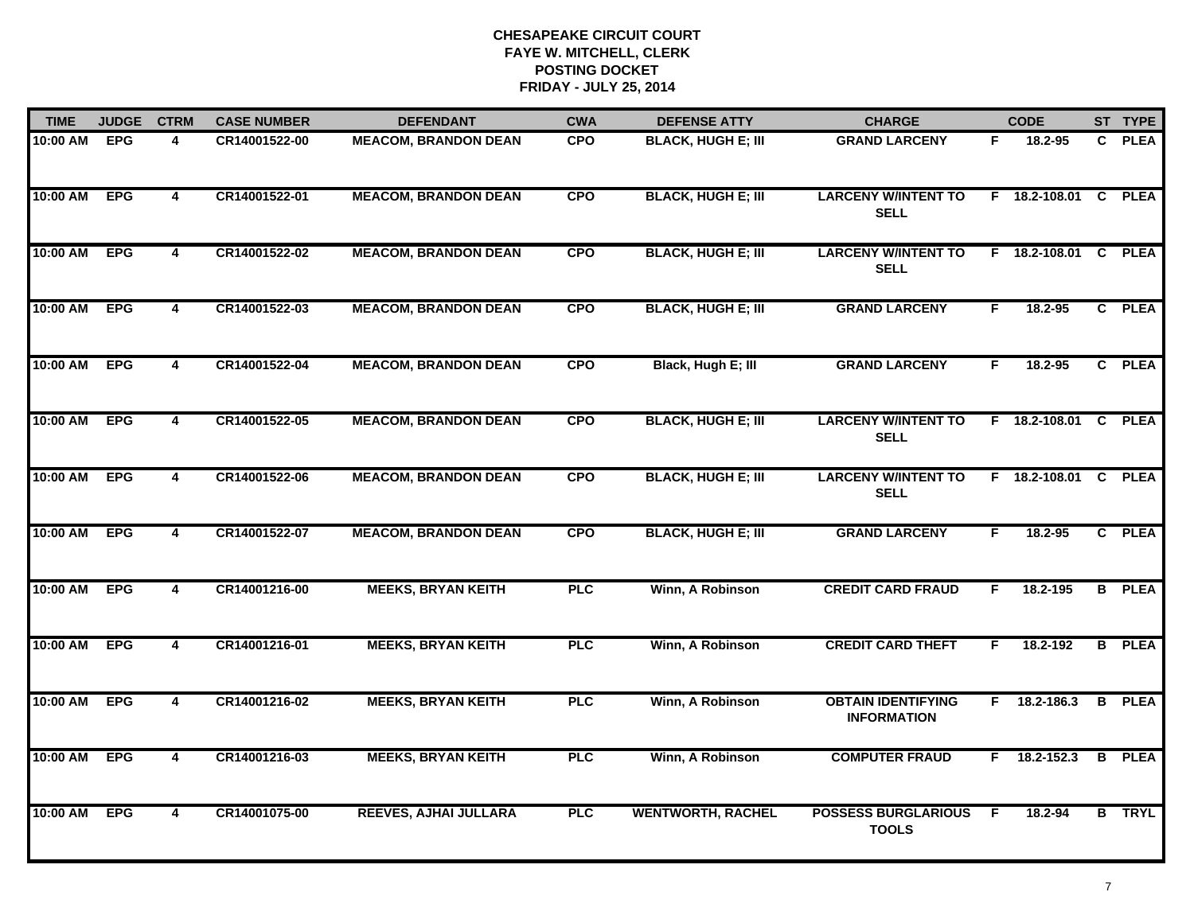| <b>TIME</b> | <b>JUDGE</b> | <b>CTRM</b>             | <b>CASE NUMBER</b> | <b>DEFENDANT</b>             | <b>CWA</b> | <b>DEFENSE ATTY</b>       | <b>CHARGE</b>                                   |    | <b>CODE</b>          |   | ST TYPE       |
|-------------|--------------|-------------------------|--------------------|------------------------------|------------|---------------------------|-------------------------------------------------|----|----------------------|---|---------------|
| 10:00 AM    | <b>EPG</b>   | 4                       | CR14001522-00      | <b>MEACOM, BRANDON DEAN</b>  | <b>CPO</b> | <b>BLACK, HUGH E; III</b> | <b>GRAND LARCENY</b>                            | F. | 18.2-95              |   | C PLEA        |
| 10:00 AM    | <b>EPG</b>   | $\overline{\mathbf{4}}$ | CR14001522-01      | <b>MEACOM, BRANDON DEAN</b>  | <b>CPO</b> | <b>BLACK, HUGH E; III</b> | <b>LARCENY W/INTENT TO</b><br><b>SELL</b>       |    | F 18.2-108.01 C PLEA |   |               |
| 10:00 AM    | <b>EPG</b>   | $\overline{4}$          | CR14001522-02      | <b>MEACOM, BRANDON DEAN</b>  | <b>CPO</b> | <b>BLACK, HUGH E; III</b> | <b>LARCENY W/INTENT TO</b><br><b>SELL</b>       |    | F 18.2-108.01        |   | C PLEA        |
| 10:00 AM    | <b>EPG</b>   | 4                       | CR14001522-03      | <b>MEACOM, BRANDON DEAN</b>  | <b>CPO</b> | <b>BLACK, HUGH E; III</b> | <b>GRAND LARCENY</b>                            | F. | 18.2-95              |   | C PLEA        |
| 10:00 AM    | <b>EPG</b>   | 4                       | CR14001522-04      | <b>MEACOM, BRANDON DEAN</b>  | <b>CPO</b> | Black, Hugh E; III        | <b>GRAND LARCENY</b>                            | F. | $18.2 - 95$          |   | C PLEA        |
| 10:00 AM    | <b>EPG</b>   | 4                       | CR14001522-05      | <b>MEACOM, BRANDON DEAN</b>  | <b>CPO</b> | <b>BLACK, HUGH E; III</b> | <b>LARCENY W/INTENT TO</b><br><b>SELL</b>       |    | F 18.2-108.01 C PLEA |   |               |
| 10:00 AM    | <b>EPG</b>   | $\overline{\mathbf{4}}$ | CR14001522-06      | <b>MEACOM, BRANDON DEAN</b>  | <b>CPO</b> | <b>BLACK, HUGH E; III</b> | <b>LARCENY W/INTENT TO</b><br><b>SELL</b>       |    | F 18.2-108.01 C      |   | <b>PLEA</b>   |
| 10:00 AM    | <b>EPG</b>   | $\overline{\mathbf{4}}$ | CR14001522-07      | <b>MEACOM, BRANDON DEAN</b>  | <b>CPO</b> | <b>BLACK, HUGH E; III</b> | <b>GRAND LARCENY</b>                            | F  | 18.2-95              |   | C PLEA        |
| 10:00 AM    | <b>EPG</b>   | 4                       | CR14001216-00      | <b>MEEKS, BRYAN KEITH</b>    | <b>PLC</b> | Winn, A Robinson          | <b>CREDIT CARD FRAUD</b>                        | F  | 18.2-195             |   | <b>B</b> PLEA |
| 10:00 AM    | <b>EPG</b>   | $\overline{4}$          | CR14001216-01      | <b>MEEKS, BRYAN KEITH</b>    | <b>PLC</b> | Winn, A Robinson          | <b>CREDIT CARD THEFT</b>                        | F. | 18.2-192             |   | <b>B</b> PLEA |
| 10:00 AM    | <b>EPG</b>   | 4                       | CR14001216-02      | <b>MEEKS, BRYAN KEITH</b>    | <b>PLC</b> | Winn, A Robinson          | <b>OBTAIN IDENTIFYING</b><br><b>INFORMATION</b> |    | $F$ 18.2-186.3       | B | <b>PLEA</b>   |
| 10:00 AM    | <b>EPG</b>   | 4                       | CR14001216-03      | <b>MEEKS, BRYAN KEITH</b>    | <b>PLC</b> | Winn, A Robinson          | <b>COMPUTER FRAUD</b>                           |    | $F$ 18.2-152.3       |   | <b>B</b> PLEA |
| 10:00 AM    | <b>EPG</b>   | 4                       | CR14001075-00      | <b>REEVES, AJHAI JULLARA</b> | <b>PLC</b> | <b>WENTWORTH, RACHEL</b>  | <b>POSSESS BURGLARIOUS</b><br><b>TOOLS</b>      | -F | 18.2-94              |   | <b>B</b> TRYL |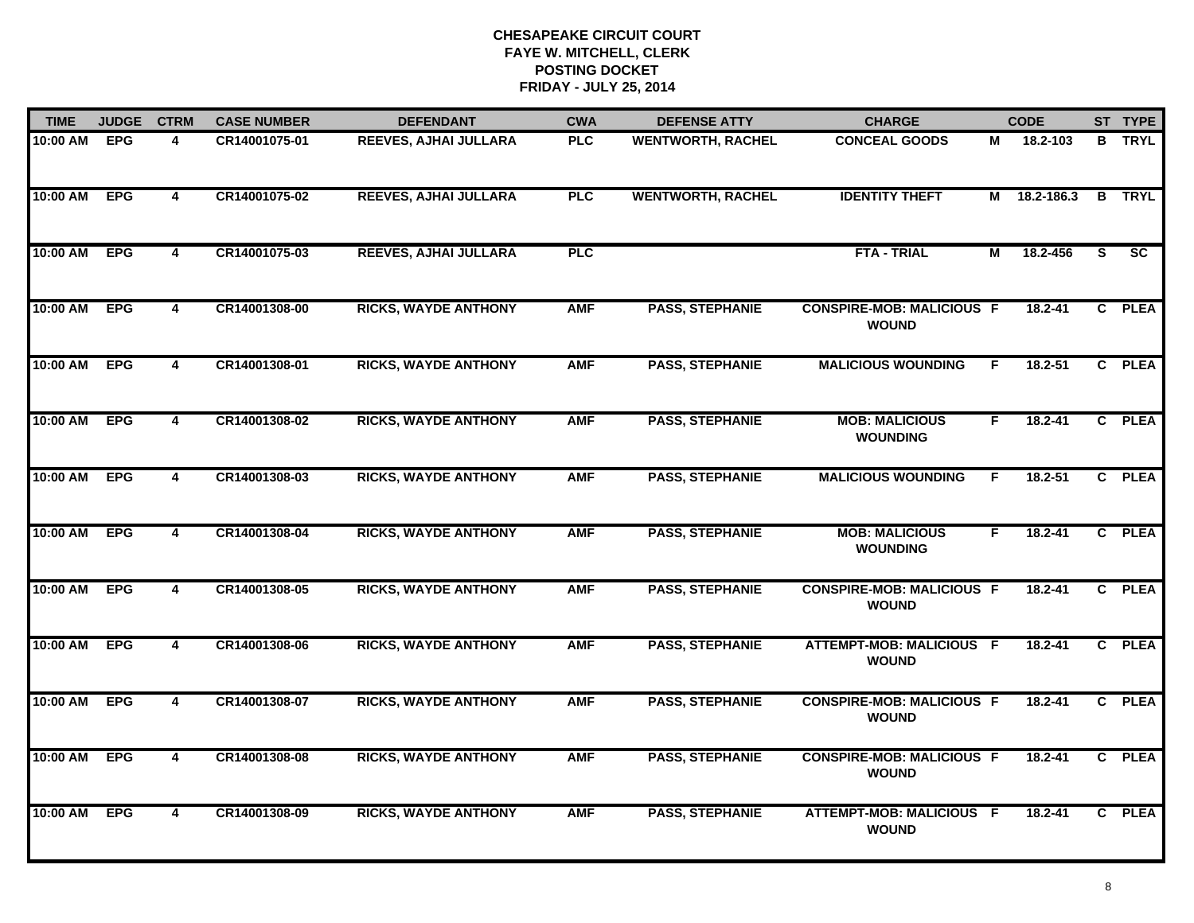| <b>TIME</b> | <b>JUDGE</b> | <b>CTRM</b>             | <b>CASE NUMBER</b> | <b>DEFENDANT</b>            | <b>CWA</b> | <b>DEFENSE ATTY</b>      | <b>CHARGE</b>                                    |    | <b>CODE</b>  |                | ST TYPE         |
|-------------|--------------|-------------------------|--------------------|-----------------------------|------------|--------------------------|--------------------------------------------------|----|--------------|----------------|-----------------|
| 10:00 AM    | <b>EPG</b>   | 4                       | CR14001075-01      | REEVES, AJHAI JULLARA       | <b>PLC</b> | <b>WENTWORTH, RACHEL</b> | <b>CONCEAL GOODS</b>                             | М  | 18.2-103     |                | <b>B</b> TRYL   |
| 10:00 AM    | <b>EPG</b>   | $\overline{\mathbf{4}}$ | CR14001075-02      | REEVES, AJHAI JULLARA       | <b>PLC</b> | <b>WENTWORTH, RACHEL</b> | <b>IDENTITY THEFT</b>                            |    | M 18.2-186.3 | B              | <b>TRYL</b>     |
| 10:00 AM    | <b>EPG</b>   | $\overline{4}$          | CR14001075-03      | REEVES, AJHAI JULLARA       | <b>PLC</b> |                          | <b>FTA - TRIAL</b>                               | М  | 18.2-456     | S.             | $\overline{sc}$ |
| 10:00 AM    | <b>EPG</b>   | 4                       | CR14001308-00      | <b>RICKS, WAYDE ANTHONY</b> | <b>AMF</b> | <b>PASS, STEPHANIE</b>   | <b>CONSPIRE-MOB: MALICIOUS F</b><br><b>WOUND</b> |    | 18.2-41      | $\mathbf{c}$   | <b>PLEA</b>     |
| 10:00 AM    | <b>EPG</b>   | 4                       | CR14001308-01      | <b>RICKS, WAYDE ANTHONY</b> | <b>AMF</b> | <b>PASS, STEPHANIE</b>   | <b>MALICIOUS WOUNDING</b>                        | F  | 18.2-51      |                | C PLEA          |
| 10:00 AM    | <b>EPG</b>   | 4                       | CR14001308-02      | <b>RICKS, WAYDE ANTHONY</b> | <b>AMF</b> | <b>PASS, STEPHANIE</b>   | <b>MOB: MALICIOUS</b><br><b>WOUNDING</b>         | F. | $18.2 - 41$  |                | C PLEA          |
| 10:00 AM    | <b>EPG</b>   | $\overline{4}$          | CR14001308-03      | <b>RICKS, WAYDE ANTHONY</b> | <b>AMF</b> | <b>PASS, STEPHANIE</b>   | <b>MALICIOUS WOUNDING</b>                        | F. | $18.2 - 51$  | $\overline{c}$ | <b>PLEA</b>     |
| 10:00 AM    | <b>EPG</b>   | $\overline{4}$          | CR14001308-04      | <b>RICKS, WAYDE ANTHONY</b> | <b>AMF</b> | <b>PASS, STEPHANIE</b>   | <b>MOB: MALICIOUS</b><br><b>WOUNDING</b>         | F  | $18.2 - 41$  |                | C PLEA          |
| 10:00 AM    | <b>EPG</b>   | 4                       | CR14001308-05      | <b>RICKS, WAYDE ANTHONY</b> | <b>AMF</b> | <b>PASS, STEPHANIE</b>   | <b>CONSPIRE-MOB: MALICIOUS F</b><br><b>WOUND</b> |    | $18.2 - 41$  | $\mathbf{c}$   | <b>PLEA</b>     |
| 10:00 AM    | <b>EPG</b>   | $\overline{\mathbf{4}}$ | CR14001308-06      | <b>RICKS, WAYDE ANTHONY</b> | <b>AMF</b> | <b>PASS, STEPHANIE</b>   | ATTEMPT-MOB: MALICIOUS F<br><b>WOUND</b>         |    | $18.2 - 41$  |                | C PLEA          |
| 10:00 AM    | <b>EPG</b>   | $\overline{\mathbf{4}}$ | CR14001308-07      | <b>RICKS, WAYDE ANTHONY</b> | <b>AMF</b> | <b>PASS, STEPHANIE</b>   | <b>CONSPIRE-MOB: MALICIOUS F</b><br><b>WOUND</b> |    | $18.2 - 41$  |                | C PLEA          |
| 10:00 AM    | <b>EPG</b>   | $\overline{4}$          | CR14001308-08      | <b>RICKS, WAYDE ANTHONY</b> | <b>AMF</b> | <b>PASS, STEPHANIE</b>   | <b>CONSPIRE-MOB: MALICIOUS F</b><br><b>WOUND</b> |    | $18.2 - 41$  |                | C PLEA          |
| 10:00 AM    | <b>EPG</b>   | $\overline{\mathbf{4}}$ | CR14001308-09      | <b>RICKS, WAYDE ANTHONY</b> | <b>AMF</b> | <b>PASS, STEPHANIE</b>   | ATTEMPT-MOB: MALICIOUS F<br><b>WOUND</b>         |    | $18.2 - 41$  |                | C PLEA          |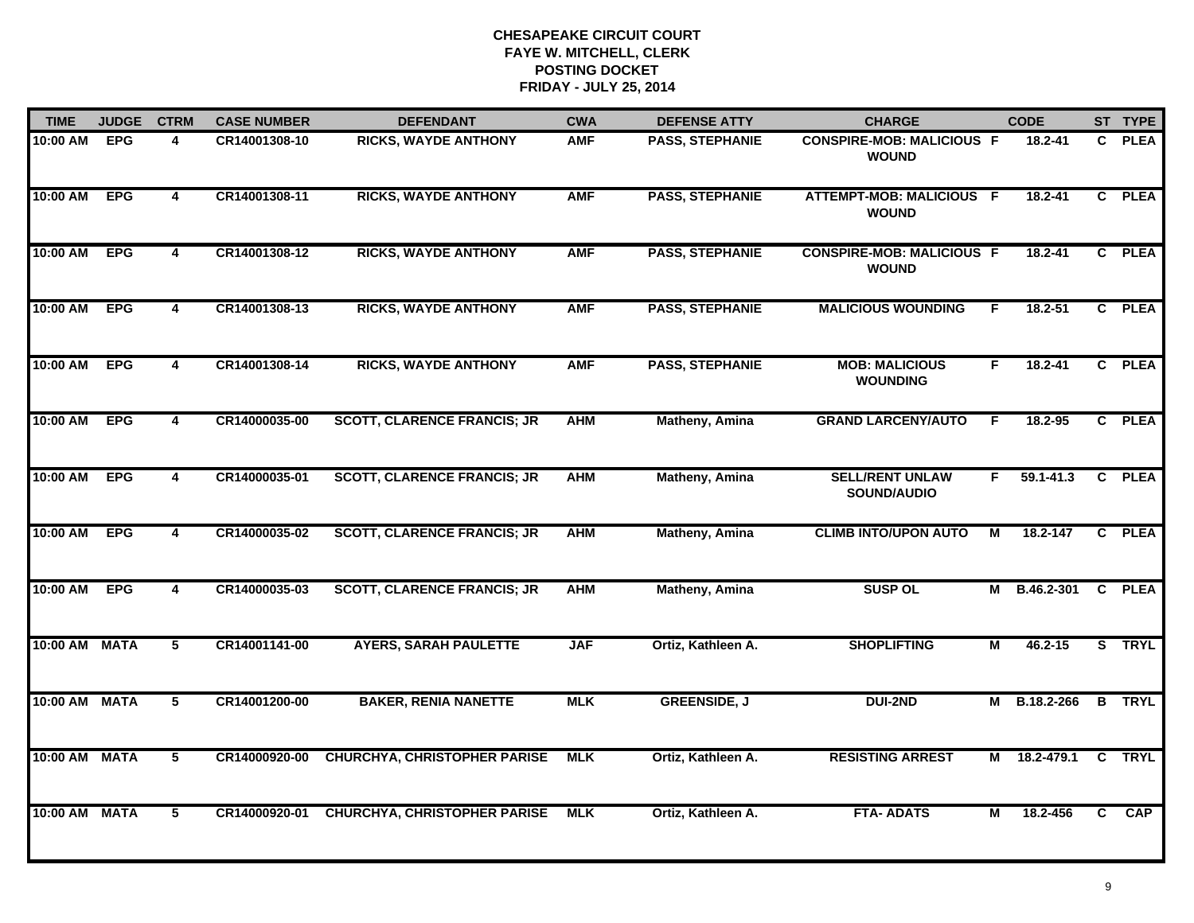| <b>TIME</b>   | <b>JUDGE</b> | <b>CTRM</b>             | <b>CASE NUMBER</b> | <b>DEFENDANT</b>                    | <b>CWA</b> | <b>DEFENSE ATTY</b>    | <b>CHARGE</b>                                    |    | <b>CODE</b>       |                | ST TYPE     |
|---------------|--------------|-------------------------|--------------------|-------------------------------------|------------|------------------------|--------------------------------------------------|----|-------------------|----------------|-------------|
| 10:00 AM      | <b>EPG</b>   | 4                       | CR14001308-10      | <b>RICKS, WAYDE ANTHONY</b>         | <b>AMF</b> | <b>PASS, STEPHANIE</b> | <b>CONSPIRE-MOB: MALICIOUS F</b><br><b>WOUND</b> |    | 18.2-41           | C.             | <b>PLEA</b> |
| 10:00 AM      | <b>EPG</b>   | $\overline{\mathbf{4}}$ | CR14001308-11      | <b>RICKS, WAYDE ANTHONY</b>         | <b>AMF</b> | <b>PASS, STEPHANIE</b> | ATTEMPT-MOB: MALICIOUS F<br><b>WOUND</b>         |    | 18.2-41           | C.             | <b>PLEA</b> |
| 10:00 AM      | <b>EPG</b>   | 4                       | CR14001308-12      | <b>RICKS, WAYDE ANTHONY</b>         | <b>AMF</b> | <b>PASS, STEPHANIE</b> | <b>CONSPIRE-MOB: MALICIOUS F</b><br><b>WOUND</b> |    | 18.2-41           | $\mathbf{c}$   | <b>PLEA</b> |
| 10:00 AM      | <b>EPG</b>   | 4                       | CR14001308-13      | <b>RICKS, WAYDE ANTHONY</b>         | <b>AMF</b> | <b>PASS, STEPHANIE</b> | <b>MALICIOUS WOUNDING</b>                        | F  | 18.2-51           | C.             | <b>PLEA</b> |
| 10:00 AM      | <b>EPG</b>   | 4                       | CR14001308-14      | <b>RICKS, WAYDE ANTHONY</b>         | <b>AMF</b> | <b>PASS, STEPHANIE</b> | <b>MOB: MALICIOUS</b><br><b>WOUNDING</b>         | F. | 18.2-41           |                | C PLEA      |
| 10:00 AM      | <b>EPG</b>   | 4                       | CR14000035-00      | <b>SCOTT, CLARENCE FRANCIS; JR</b>  | <b>AHM</b> | <b>Matheny, Amina</b>  | <b>GRAND LARCENY/AUTO</b>                        | F  | 18.2-95           |                | C PLEA      |
| 10:00 AM      | <b>EPG</b>   | $\overline{\mathbf{4}}$ | CR14000035-01      | <b>SCOTT, CLARENCE FRANCIS; JR</b>  | <b>AHM</b> | Matheny, Amina         | <b>SELL/RENT UNLAW</b><br>SOUND/AUDIO            | F  | $59.1 - 41.3$     | $\overline{c}$ | <b>PLEA</b> |
| 10:00 AM      | <b>EPG</b>   | $\overline{\mathbf{4}}$ | CR14000035-02      | <b>SCOTT, CLARENCE FRANCIS; JR</b>  | <b>AHM</b> | <b>Matheny, Amina</b>  | <b>CLIMB INTO/UPON AUTO</b>                      | M  | 18.2-147          | $\mathbf{c}$   | <b>PLEA</b> |
| 10:00 AM      | <b>EPG</b>   | 4                       | CR14000035-03      | <b>SCOTT, CLARENCE FRANCIS; JR</b>  | <b>AHM</b> | Matheny, Amina         | <b>SUSP OL</b>                                   |    | M B.46.2-301      | $\mathbf{C}$   | <b>PLEA</b> |
| 10:00 AM MATA |              | 5                       | CR14001141-00      | <b>AYERS, SARAH PAULETTE</b>        | <b>JAF</b> | Ortiz, Kathleen A.     | <b>SHOPLIFTING</b>                               | М  | $46.2 - 15$       |                | S TRYL      |
| 10:00 AM MATA |              | 5                       | CR14001200-00      | <b>BAKER, RENIA NANETTE</b>         | <b>MLK</b> | <b>GREENSIDE, J</b>    | <b>DUI-2ND</b>                                   | M  | B.18.2-266        | $\overline{B}$ | <b>TRYL</b> |
| 10:00 AM MATA |              | 5                       | CR14000920-00      | <b>CHURCHYA, CHRISTOPHER PARISE</b> | <b>MLK</b> | Ortiz, Kathleen A.     | <b>RESISTING ARREST</b>                          | M  | 18.2-479.1 C TRYL |                |             |
| 10:00 AM MATA |              | 5                       | CR14000920-01      | <b>CHURCHYA, CHRISTOPHER PARISE</b> | <b>MLK</b> | Ortiz, Kathleen A.     | <b>FTA- ADATS</b>                                | М  | 18.2-456          | C.             | CAP         |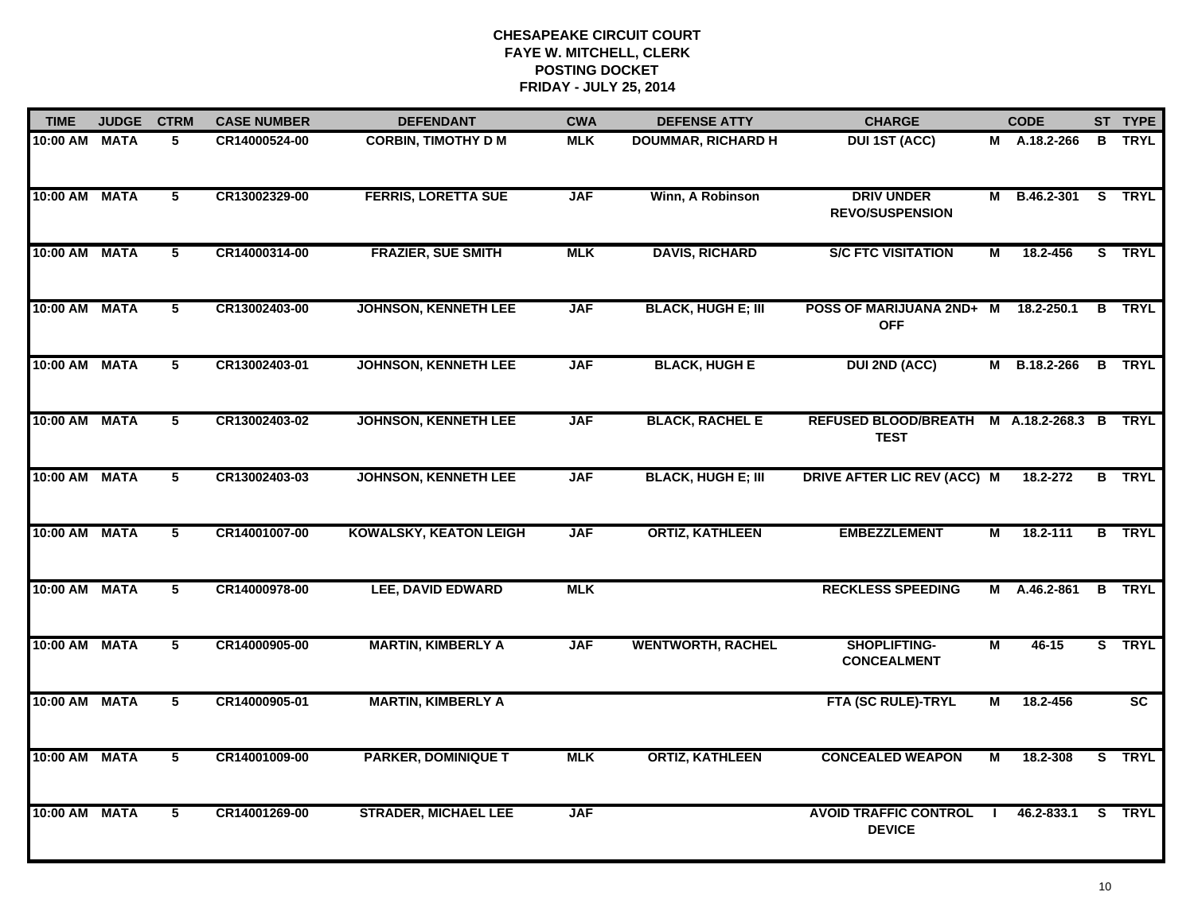| <b>TIME</b>   | <b>JUDGE</b> | <b>CTRM</b>    | <b>CASE NUMBER</b> | <b>DEFENDANT</b>              | <b>CWA</b> | <b>DEFENSE ATTY</b>       | <b>CHARGE</b>                                             |                | <b>CODE</b>         |                         | ST TYPE         |
|---------------|--------------|----------------|--------------------|-------------------------------|------------|---------------------------|-----------------------------------------------------------|----------------|---------------------|-------------------------|-----------------|
| 10:00 AM MATA |              | 5              | CR14000524-00      | <b>CORBIN, TIMOTHY D M</b>    | <b>MLK</b> | <b>DOUMMAR, RICHARD H</b> | <b>DUI 1ST (ACC)</b>                                      |                | M A.18.2-266        |                         | <b>B</b> TRYL   |
| 10:00 AM MATA |              | 5              | CR13002329-00      | <b>FERRIS, LORETTA SUE</b>    | <b>JAF</b> | Winn, A Robinson          | <b>DRIV UNDER</b><br><b>REVO/SUSPENSION</b>               |                | M B.46.2-301 S TRYL |                         |                 |
| 10:00 AM MATA |              | $\overline{5}$ | CR14000314-00      | <b>FRAZIER, SUE SMITH</b>     | <b>MLK</b> | <b>DAVIS, RICHARD</b>     | <b>S/C FTC VISITATION</b>                                 | М              | 18.2-456            |                         | S TRYL          |
| 10:00 AM MATA |              | 5              | CR13002403-00      | <b>JOHNSON, KENNETH LEE</b>   | <b>JAF</b> | <b>BLACK, HUGH E; III</b> | POSS OF MARIJUANA 2ND+ M<br><b>OFF</b>                    |                | 18.2-250.1          |                         | <b>B</b> TRYL   |
| 10:00 AM MATA |              | 5              | CR13002403-01      | <b>JOHNSON, KENNETH LEE</b>   | <b>JAF</b> | <b>BLACK, HUGH E</b>      | <b>DUI 2ND (ACC)</b>                                      |                | M B.18.2-266        |                         | <b>B</b> TRYL   |
| 10:00 AM MATA |              | 5              | CR13002403-02      | <b>JOHNSON, KENNETH LEE</b>   | <b>JAF</b> | <b>BLACK, RACHEL E</b>    | REFUSED BLOOD/BREATH M A.18.2-268.3 B TRYL<br><b>TEST</b> |                |                     |                         |                 |
| 10:00 AM MATA |              | $\overline{5}$ | CR13002403-03      | <b>JOHNSON, KENNETH LEE</b>   | <b>JAF</b> | <b>BLACK, HUGH E; III</b> | DRIVE AFTER LIC REV (ACC) M                               |                | 18.2-272            |                         | <b>B</b> TRYL   |
| 10:00 AM MATA |              | 5              | CR14001007-00      | <b>KOWALSKY, KEATON LEIGH</b> | <b>JAF</b> | <b>ORTIZ, KATHLEEN</b>    | <b>EMBEZZLEMENT</b>                                       | М              | 18.2-111            |                         | <b>B</b> TRYL   |
| 10:00 AM MATA |              | 5              | CR14000978-00      | <b>LEE, DAVID EDWARD</b>      | <b>MLK</b> |                           | <b>RECKLESS SPEEDING</b>                                  |                | M A.46.2-861        |                         | <b>B</b> TRYL   |
| 10:00 AM MATA |              | 5              | CR14000905-00      | <b>MARTIN, KIMBERLY A</b>     | <b>JAF</b> | <b>WENTWORTH, RACHEL</b>  | <b>SHOPLIFTING-</b><br><b>CONCEALMENT</b>                 | M              | $46 - 15$           |                         | S TRYL          |
| 10:00 AM MATA |              | 5              | CR14000905-01      | <b>MARTIN, KIMBERLY A</b>     |            |                           | <b>FTA (SC RULE)-TRYL</b>                                 | М              | 18.2-456            |                         | $\overline{sc}$ |
| 10:00 AM      | <b>MATA</b>  | 5              | CR14001009-00      | <b>PARKER, DOMINIQUE T</b>    | <b>MLK</b> | <b>ORTIZ, KATHLEEN</b>    | <b>CONCEALED WEAPON</b>                                   | $\overline{M}$ | 18.2-308            | $\overline{\mathbf{s}}$ | <b>TRYL</b>     |
| 10:00 AM      | <b>MATA</b>  | 5              | CR14001269-00      | <b>STRADER, MICHAEL LEE</b>   | <b>JAF</b> |                           | <b>AVOID TRAFFIC CONTROL</b><br><b>DEVICE</b>             |                | 46.2-833.1          | S.                      | <b>TRYL</b>     |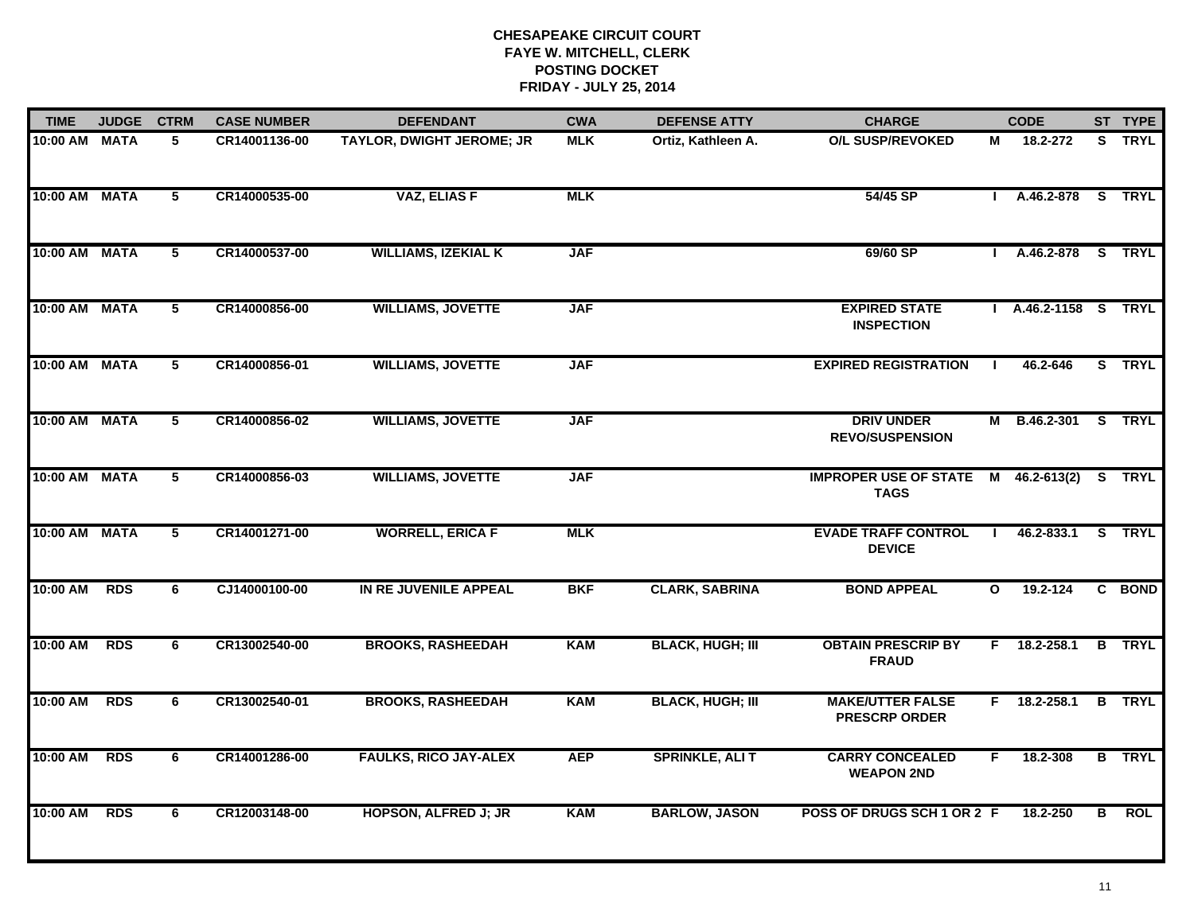| <b>TIME</b>   | <b>JUDGE</b> | <b>CTRM</b>             | <b>CASE NUMBER</b> | <b>DEFENDANT</b>             | <b>CWA</b> | <b>DEFENSE ATTY</b>     | <b>CHARGE</b>                                      |              | <b>CODE</b>          |   | ST TYPE       |
|---------------|--------------|-------------------------|--------------------|------------------------------|------------|-------------------------|----------------------------------------------------|--------------|----------------------|---|---------------|
| 10:00 AM      | <b>MATA</b>  | 5                       | CR14001136-00      | TAYLOR, DWIGHT JEROME; JR    | <b>MLK</b> | Ortiz, Kathleen A.      | <b>O/L SUSP/REVOKED</b>                            | М            | 18.2-272             |   | S TRYL        |
| 10:00 AM MATA |              | $5\phantom{.0}$         | CR14000535-00      | <b>VAZ, ELIAS F</b>          | <b>MLK</b> |                         | 54/45 SP                                           |              | I A.46.2-878 S TRYL  |   |               |
| 10:00 AM MATA |              | 5                       | CR14000537-00      | <b>WILLIAMS, IZEKIAL K</b>   | <b>JAF</b> |                         | 69/60 SP                                           |              | A.46.2-878 S TRYL    |   |               |
| 10:00 AM MATA |              | 5                       | CR14000856-00      | <b>WILLIAMS, JOVETTE</b>     | <b>JAF</b> |                         | <b>EXPIRED STATE</b><br><b>INSPECTION</b>          |              | I A.46.2-1158 S TRYL |   |               |
| 10:00 AM      | <b>MATA</b>  | 5                       | CR14000856-01      | <b>WILLIAMS, JOVETTE</b>     | <b>JAF</b> |                         | <b>EXPIRED REGISTRATION</b>                        |              | 46.2-646             |   | S TRYL        |
| 10:00 AM MATA |              | $5\phantom{.0}$         | CR14000856-02      | <b>WILLIAMS, JOVETTE</b>     | <b>JAF</b> |                         | <b>DRIV UNDER</b><br><b>REVO/SUSPENSION</b>        |              | M B.46.2-301 S TRYL  |   |               |
| 10:00 AM      | <b>MATA</b>  | 5                       | CR14000856-03      | <b>WILLIAMS, JOVETTE</b>     | <b>JAF</b> |                         | IMPROPER USE OF STATE M 46.2-613(2)<br><b>TAGS</b> |              |                      |   | S TRYL        |
| 10:00 AM MATA |              | $\overline{\mathbf{5}}$ | CR14001271-00      | <b>WORRELL, ERICA F</b>      | <b>MLK</b> |                         | <b>EVADE TRAFF CONTROL</b><br><b>DEVICE</b>        |              | 46.2-833.1           |   | S TRYL        |
| 10:00 AM      | <b>RDS</b>   | 6                       | CJ14000100-00      | IN RE JUVENILE APPEAL        | <b>BKF</b> | <b>CLARK, SABRINA</b>   | <b>BOND APPEAL</b>                                 | $\mathbf{o}$ | 19.2-124             |   | C BOND        |
| 10:00 AM      | <b>RDS</b>   | 6                       | CR13002540-00      | <b>BROOKS, RASHEEDAH</b>     | <b>KAM</b> | <b>BLACK, HUGH; III</b> | <b>OBTAIN PRESCRIP BY</b><br><b>FRAUD</b>          | F.           | 18.2-258.1           |   | <b>B</b> TRYL |
| 10:00 AM      | <b>RDS</b>   | 6                       | CR13002540-01      | <b>BROOKS, RASHEEDAH</b>     | <b>KAM</b> | <b>BLACK, HUGH; III</b> | <b>MAKE/UTTER FALSE</b><br><b>PRESCRP ORDER</b>    |              | $F$ 18.2-258.1       |   | <b>B</b> TRYL |
| 10:00 AM      | <b>RDS</b>   | 6                       | CR14001286-00      | <b>FAULKS, RICO JAY-ALEX</b> | <b>AEP</b> | <b>SPRINKLE, ALI T</b>  | <b>CARRY CONCEALED</b><br><b>WEAPON 2ND</b>        | F.           | 18.2-308             |   | <b>B</b> TRYL |
| 10:00 AM      | <b>RDS</b>   | 6                       | CR12003148-00      | <b>HOPSON, ALFRED J; JR</b>  | <b>KAM</b> | <b>BARLOW, JASON</b>    | POSS OF DRUGS SCH 1 OR 2 F                         |              | 18.2-250             | В | <b>ROL</b>    |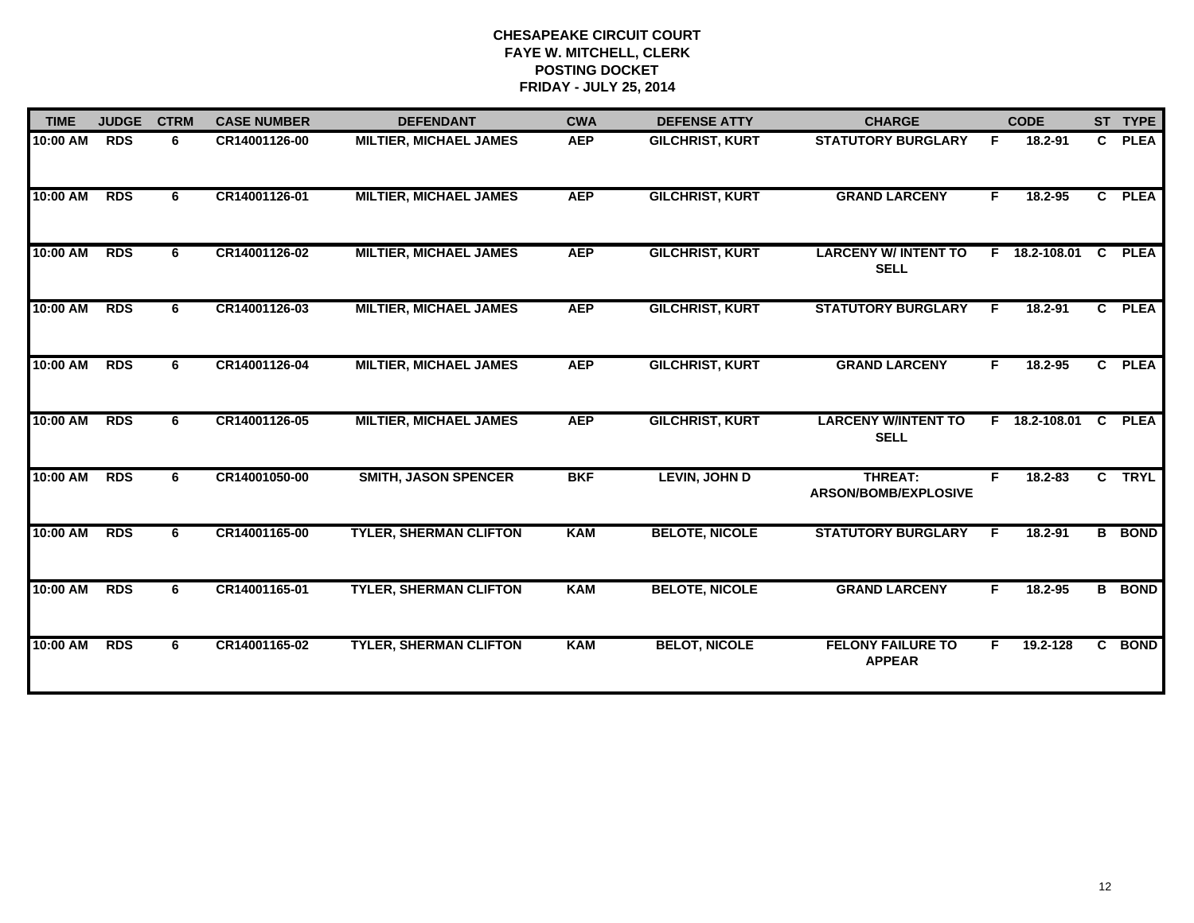| <b>TIME</b> | <b>JUDGE</b> | <b>CTRM</b> | <b>CASE NUMBER</b> | <b>DEFENDANT</b>              | <b>CWA</b> | <b>DEFENSE ATTY</b>    | <b>CHARGE</b>                              |    | <b>CODE</b>   |              | ST TYPE       |
|-------------|--------------|-------------|--------------------|-------------------------------|------------|------------------------|--------------------------------------------|----|---------------|--------------|---------------|
| 10:00 AM    | <b>RDS</b>   | 6           | CR14001126-00      | <b>MILTIER, MICHAEL JAMES</b> | <b>AEP</b> | <b>GILCHRIST, KURT</b> | <b>STATUTORY BURGLARY</b>                  | F. | 18.2-91       | $\mathbf{C}$ | <b>PLEA</b>   |
| 10:00 AM    | <b>RDS</b>   | 6           | CR14001126-01      | <b>MILTIER, MICHAEL JAMES</b> | <b>AEP</b> | <b>GILCHRIST, KURT</b> | <b>GRAND LARCENY</b>                       | F  | 18.2-95       |              | C PLEA        |
| 10:00 AM    | <b>RDS</b>   | 6           | CR14001126-02      | <b>MILTIER, MICHAEL JAMES</b> | <b>AEP</b> | <b>GILCHRIST, KURT</b> | <b>LARCENY W/ INTENT TO</b><br><b>SELL</b> |    | F 18.2-108.01 | C            | <b>PLEA</b>   |
| 10:00 AM    | <b>RDS</b>   | 6           | CR14001126-03      | <b>MILTIER, MICHAEL JAMES</b> | <b>AEP</b> | <b>GILCHRIST, KURT</b> | <b>STATUTORY BURGLARY</b>                  | F  | $18.2 - 91$   |              | C PLEA        |
| 10:00 AM    | <b>RDS</b>   | 6           | CR14001126-04      | <b>MILTIER, MICHAEL JAMES</b> | <b>AEP</b> | <b>GILCHRIST, KURT</b> | <b>GRAND LARCENY</b>                       | F. | 18.2-95       |              | C PLEA        |
| 10:00 AM    | <b>RDS</b>   | 6           | CR14001126-05      | <b>MILTIER, MICHAEL JAMES</b> | <b>AEP</b> | <b>GILCHRIST, KURT</b> | <b>LARCENY W/INTENT TO</b><br><b>SELL</b>  |    | F 18.2-108.01 | C            | <b>PLEA</b>   |
| 10:00 AM    | <b>RDS</b>   | 6           | CR14001050-00      | <b>SMITH, JASON SPENCER</b>   | <b>BKF</b> | <b>LEVIN, JOHN D</b>   | <b>THREAT:</b><br>ARSON/BOMB/EXPLOSIVE     | F  | 18.2-83       |              | C TRYL        |
| 10:00 AM    | <b>RDS</b>   | 6           | CR14001165-00      | <b>TYLER, SHERMAN CLIFTON</b> | <b>KAM</b> | <b>BELOTE, NICOLE</b>  | <b>STATUTORY BURGLARY</b>                  | F  | $18.2 - 91$   |              | <b>B</b> BOND |
| 10:00 AM    | <b>RDS</b>   | 6           | CR14001165-01      | <b>TYLER, SHERMAN CLIFTON</b> | <b>KAM</b> | <b>BELOTE, NICOLE</b>  | <b>GRAND LARCENY</b>                       | F  | $18.2 - 95$   |              | <b>B</b> BOND |
| 10:00 AM    | <b>RDS</b>   | 6           | CR14001165-02      | <b>TYLER, SHERMAN CLIFTON</b> | <b>KAM</b> | <b>BELOT, NICOLE</b>   | <b>FELONY FAILURE TO</b><br><b>APPEAR</b>  | F. | 19.2-128      | $\mathbf{c}$ | <b>BOND</b>   |